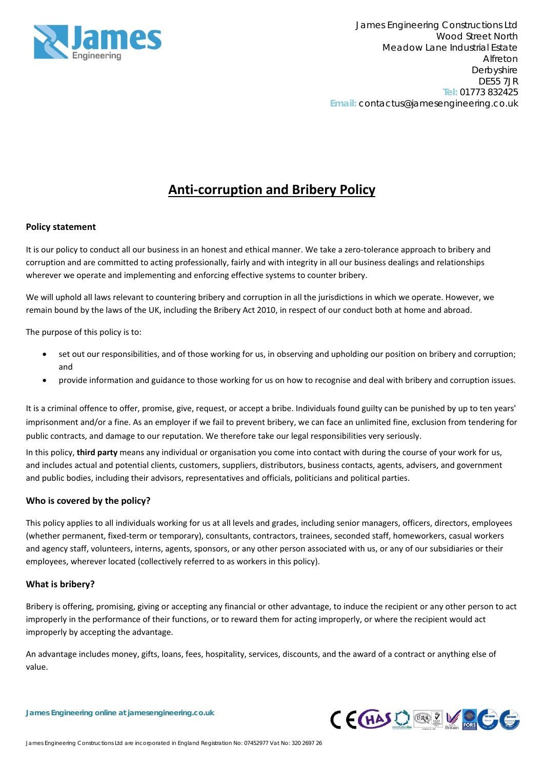

# **Anti‐corruption and Bribery Policy**

## **Policy statement**

It is our policy to conduct all our business in an honest and ethical manner. We take a zero-tolerance approach to bribery and corruption and are committed to acting professionally, fairly and with integrity in all our business dealings and relationships wherever we operate and implementing and enforcing effective systems to counter bribery.

We will uphold all laws relevant to countering bribery and corruption in all the jurisdictions in which we operate. However, we remain bound by the laws of the UK, including the Bribery Act 2010, in respect of our conduct both at home and abroad.

The purpose of this policy is to:

- set out our responsibilities, and of those working for us, in observing and upholding our position on bribery and corruption; and
- provide information and guidance to those working for us on how to recognise and deal with bribery and corruption issues.

It is a criminal offence to offer, promise, give, request, or accept a bribe. Individuals found guilty can be punished by up to ten years' imprisonment and/or a fine. As an employer if we fail to prevent bribery, we can face an unlimited fine, exclusion from tendering for public contracts, and damage to our reputation. We therefore take our legal responsibilities very seriously.

In this policy, **third party** means any individual or organisation you come into contact with during the course of your work for us, and includes actual and potential clients, customers, suppliers, distributors, business contacts, agents, advisers, and government and public bodies, including their advisors, representatives and officials, politicians and political parties.

### **Who is covered by the policy?**

This policy applies to all individuals working for us at all levels and grades, including senior managers, officers, directors, employees (whether permanent, fixed‐term or temporary), consultants, contractors, trainees, seconded staff, homeworkers, casual workers and agency staff, volunteers, interns, agents, sponsors, or any other person associated with us, or any of our subsidiaries or their employees, wherever located (collectively referred to as workers in this policy).

### **What is bribery?**

Bribery is offering, promising, giving or accepting any financial or other advantage, to induce the recipient or any other person to act improperly in the performance of their functions, or to reward them for acting improperly, or where the recipient would act improperly by accepting the advantage.

An advantage includes money, gifts, loans, fees, hospitality, services, discounts, and the award of a contract or anything else of value.

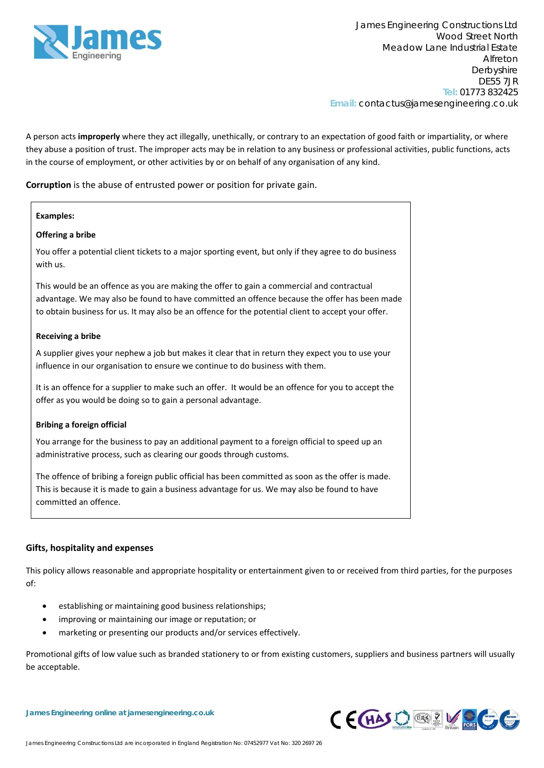

A person acts **improperly** where they act illegally, unethically, or contrary to an expectation of good faith or impartiality, or where they abuse a position of trust. The improper acts may be in relation to any business or professional activities, public functions, acts in the course of employment, or other activities by or on behalf of any organisation of any kind.

**Corruption** is the abuse of entrusted power or position for private gain.

# **Examples: Offering a bribe** You offer a potential client tickets to a major sporting event, but only if they agree to do business with us. This would be an offence as you are making the offer to gain a commercial and contractual advantage. We may also be found to have committed an offence because the offer has been made to obtain business for us. It may also be an offence for the potential client to accept your offer. **Receiving a bribe** A supplier gives your nephew a job but makes it clear that in return they expect you to use your influence in our organisation to ensure we continue to do business with them. It is an offence for a supplier to make such an offer. It would be an offence for you to accept the offer as you would be doing so to gain a personal advantage. **Bribing a foreign official** You arrange for the business to pay an additional payment to a foreign official to speed up an administrative process, such as clearing our goods through customs. The offence of bribing a foreign public official has been committed as soon as the offer is made. This is because it is made to gain a business advantage for us. We may also be found to have committed an offence.

## **Gifts, hospitality and expenses**

This policy allows reasonable and appropriate hospitality or entertainment given to or received from third parties, for the purposes of:

- establishing or maintaining good business relationships;
- improving or maintaining our image or reputation; or
- marketing or presenting our products and/or services effectively.

Promotional gifts of low value such as branded stationery to or from existing customers, suppliers and business partners will usually be acceptable.

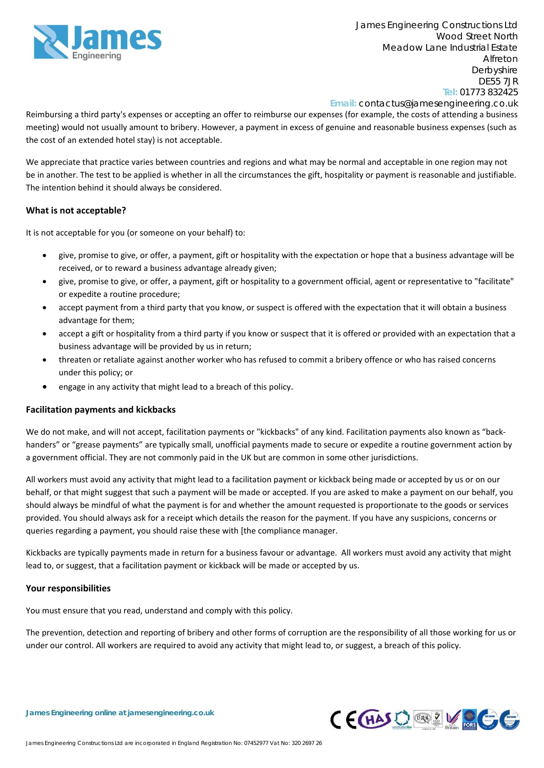

**Email:** contactus@jamesengineering.co.uk

Reimbursing a third party's expenses or accepting an offer to reimburse our expenses (for example, the costs of attending a business meeting) would not usually amount to bribery. However, a payment in excess of genuine and reasonable business expenses (such as the cost of an extended hotel stay) is not acceptable.

We appreciate that practice varies between countries and regions and what may be normal and acceptable in one region may not be in another. The test to be applied is whether in all the circumstances the gift, hospitality or payment is reasonable and justifiable. The intention behind it should always be considered.

## **What is not acceptable?**

It is not acceptable for you (or someone on your behalf) to:

- give, promise to give, or offer, a payment, gift or hospitality with the expectation or hope that a business advantage will be received, or to reward a business advantage already given;
- give, promise to give, or offer, a payment, gift or hospitality to a government official, agent or representative to "facilitate" or expedite a routine procedure;
- accept payment from a third party that you know, or suspect is offered with the expectation that it will obtain a business advantage for them;
- accept a gift or hospitality from a third party if you know or suspect that it is offered or provided with an expectation that a business advantage will be provided by us in return;
- threaten or retaliate against another worker who has refused to commit a bribery offence or who has raised concerns under this policy; or
- engage in any activity that might lead to a breach of this policy.

### **Facilitation payments and kickbacks**

We do not make, and will not accept, facilitation payments or "kickbacks" of any kind. Facilitation payments also known as "backhanders" or "grease payments" are typically small, unofficial payments made to secure or expedite a routine government action by a government official. They are not commonly paid in the UK but are common in some other jurisdictions.

All workers must avoid any activity that might lead to a facilitation payment or kickback being made or accepted by us or on our behalf, or that might suggest that such a payment will be made or accepted. If you are asked to make a payment on our behalf, you should always be mindful of what the payment is for and whether the amount requested is proportionate to the goods or services provided. You should always ask for a receipt which details the reason for the payment. If you have any suspicions, concerns or queries regarding a payment, you should raise these with [the compliance manager.

Kickbacks are typically payments made in return for a business favour or advantage. All workers must avoid any activity that might lead to, or suggest, that a facilitation payment or kickback will be made or accepted by us.

### **Your responsibilities**

You must ensure that you read, understand and comply with this policy.

The prevention, detection and reporting of bribery and other forms of corruption are the responsibility of all those working for us or under our control. All workers are required to avoid any activity that might lead to, or suggest, a breach of this policy.

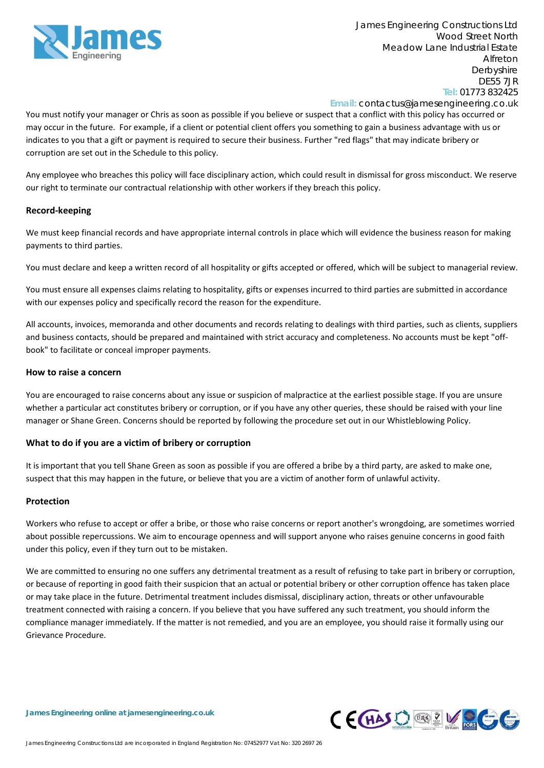

**Email:** contactus@jamesengineering.co.uk

You must notify your manager or Chris as soon as possible if you believe or suspect that a conflict with this policy has occurred or may occur in the future. For example, if a client or potential client offers you something to gain a business advantage with us or indicates to you that a gift or payment is required to secure their business. Further "red flags" that may indicate bribery or corruption are set out in the Schedule to this policy.

Any employee who breaches this policy will face disciplinary action, which could result in dismissal for gross misconduct. We reserve our right to terminate our contractual relationship with other workers if they breach this policy.

### **Record‐keeping**

We must keep financial records and have appropriate internal controls in place which will evidence the business reason for making payments to third parties.

You must declare and keep a written record of all hospitality or gifts accepted or offered, which will be subject to managerial review.

You must ensure all expenses claims relating to hospitality, gifts or expenses incurred to third parties are submitted in accordance with our expenses policy and specifically record the reason for the expenditure.

All accounts, invoices, memoranda and other documents and records relating to dealings with third parties, such as clients, suppliers and business contacts, should be prepared and maintained with strict accuracy and completeness. No accounts must be kept "offbook" to facilitate or conceal improper payments.

#### **How to raise a concern**

You are encouraged to raise concerns about any issue or suspicion of malpractice at the earliest possible stage. If you are unsure whether a particular act constitutes bribery or corruption, or if you have any other queries, these should be raised with your line manager or Shane Green. Concerns should be reported by following the procedure set out in our Whistleblowing Policy.

### **What to do if you are a victim of bribery or corruption**

It is important that you tell Shane Green as soon as possible if you are offered a bribe by a third party, are asked to make one, suspect that this may happen in the future, or believe that you are a victim of another form of unlawful activity.

### **Protection**

Workers who refuse to accept or offer a bribe, or those who raise concerns or report another's wrongdoing, are sometimes worried about possible repercussions. We aim to encourage openness and will support anyone who raises genuine concerns in good faith under this policy, even if they turn out to be mistaken.

We are committed to ensuring no one suffers any detrimental treatment as a result of refusing to take part in bribery or corruption, or because of reporting in good faith their suspicion that an actual or potential bribery or other corruption offence has taken place or may take place in the future. Detrimental treatment includes dismissal, disciplinary action, threats or other unfavourable treatment connected with raising a concern. If you believe that you have suffered any such treatment, you should inform the compliance manager immediately. If the matter is not remedied, and you are an employee, you should raise it formally using our Grievance Procedure.

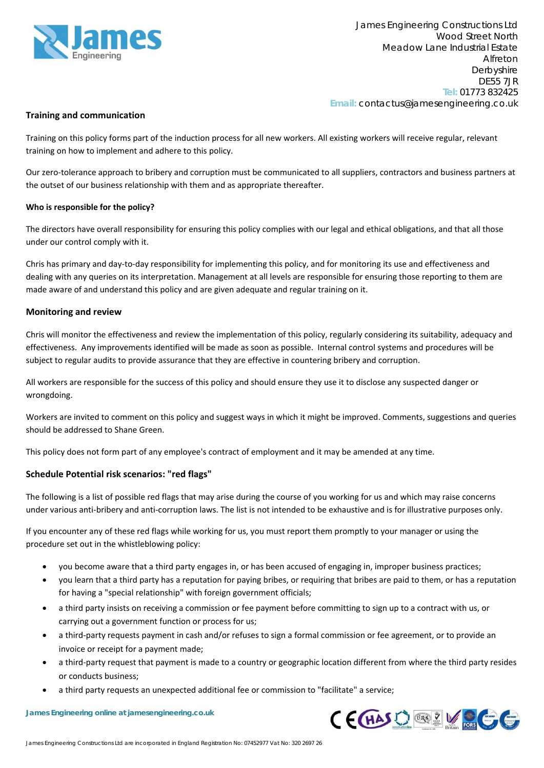

### **Training and communication**

Training on this policy forms part of the induction process for all new workers. All existing workers will receive regular, relevant training on how to implement and adhere to this policy.

Our zero‐tolerance approach to bribery and corruption must be communicated to all suppliers, contractors and business partners at the outset of our business relationship with them and as appropriate thereafter.

### **Who is responsible for the policy?**

The directors have overall responsibility for ensuring this policy complies with our legal and ethical obligations, and that all those under our control comply with it.

Chris has primary and day‐to‐day responsibility for implementing this policy, and for monitoring its use and effectiveness and dealing with any queries on its interpretation. Management at all levels are responsible for ensuring those reporting to them are made aware of and understand this policy and are given adequate and regular training on it.

#### **Monitoring and review**

Chris will monitor the effectiveness and review the implementation of this policy, regularly considering its suitability, adequacy and effectiveness. Any improvements identified will be made as soon as possible. Internal control systems and procedures will be subject to regular audits to provide assurance that they are effective in countering bribery and corruption.

All workers are responsible for the success of this policy and should ensure they use it to disclose any suspected danger or wrongdoing.

Workers are invited to comment on this policy and suggest ways in which it might be improved. Comments, suggestions and queries should be addressed to Shane Green.

This policy does not form part of any employee's contract of employment and it may be amended at any time.

### **Schedule Potential risk scenarios: "red flags"**

The following is a list of possible red flags that may arise during the course of you working for us and which may raise concerns under various anti‐bribery and anti‐corruption laws. The list is not intended to be exhaustive and is for illustrative purposes only.

If you encounter any of these red flags while working for us, you must report them promptly to your manager or using the procedure set out in the whistleblowing policy:

- you become aware that a third party engages in, or has been accused of engaging in, improper business practices;
- you learn that a third party has a reputation for paying bribes, or requiring that bribes are paid to them, or has a reputation for having a "special relationship" with foreign government officials;
- a third party insists on receiving a commission or fee payment before committing to sign up to a contract with us, or carrying out a government function or process for us;
- a third‐party requests payment in cash and/or refuses to sign a formal commission or fee agreement, or to provide an invoice or receipt for a payment made;
- a third‐party request that payment is made to a country or geographic location different from where the third party resides or conducts business;
- a third party requests an unexpected additional fee or commission to "facilitate" a service;